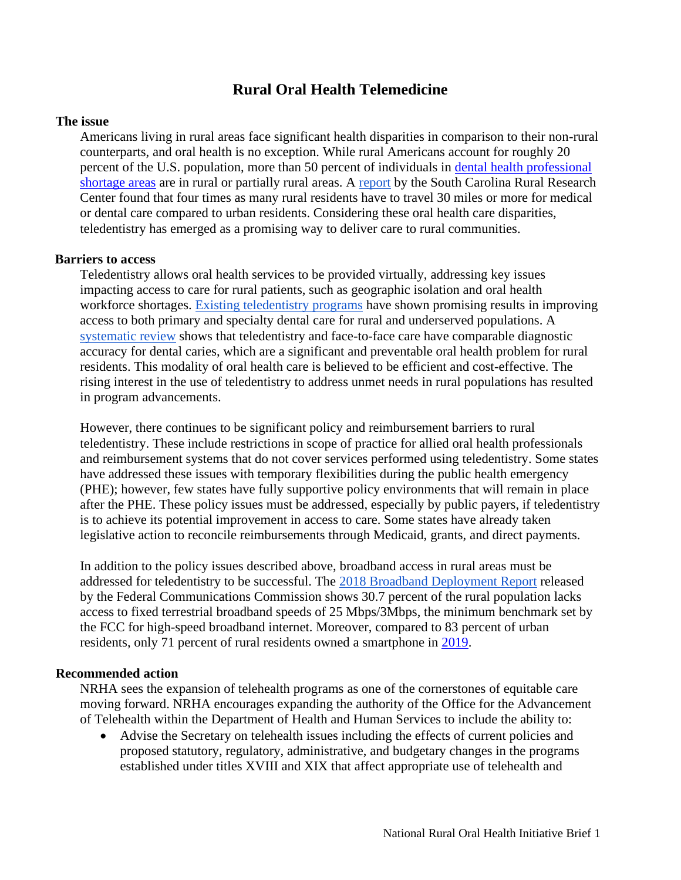# **Rural Oral Health Telemedicine**

#### **The issue**

Americans living in rural areas face significant health disparities in comparison to their non-rural counterparts, and oral health is no exception. While rural Americans account for roughly 20 percent of the U.S. population, more than 50 percent of individuals in [dental health professional](https://data.hrsa.gov/topics/health-workforce/shortage-areas)  [shortage areas](https://data.hrsa.gov/topics/health-workforce/shortage-areas) are in rural or partially rural areas. A [report](https://sc.edu/study/colleges_schools/public_health/research/research_centers/sc_rural_health_research_center/documents/61modeoftravelandactualdistancetraveled2006.pdf) by the South Carolina Rural Research Center found that four times as many rural residents have to travel 30 miles or more for medical or dental care compared to urban residents. Considering these oral health care disparities, teledentistry has emerged as a promising way to deliver care to rural communities.

#### **Barriers to access**

Teledentistry allows oral health services to be provided virtually, addressing key issues impacting access to care for rural patients, such as geographic isolation and oral health workforce shortages. [Existing teledentistry programs](http://www.chwsny.org/wp-content/uploads/2017/01/OHWRC_Case_Studies_of_6_Teledentistry_Programs_2016.pdf) have shown promising results in improving access to both primary and specialty dental care for rural and underserved populations. A [systematic review](https://www-sciencedirect-com.proxy.library.georgetown.edu/science/article/pii/S1532338216301038?via%3Dihub) shows that teledentistry and face-to-face care have comparable diagnostic accuracy for dental caries, which are a significant and preventable oral health problem for rural residents. This modality of oral health care is believed to be efficient and cost-effective. The rising interest in the use of teledentistry to address unmet needs in rural populations has resulted in program advancements.

However, there continues to be significant policy and reimbursement barriers to rural teledentistry. These include restrictions in scope of practice for allied oral health professionals and reimbursement systems that do not cover services performed using teledentistry. Some states have addressed these issues with temporary flexibilities during the public health emergency (PHE); however, few states have fully supportive policy environments that will remain in place after the PHE. These policy issues must be addressed, especially by public payers, if teledentistry is to achieve its potential improvement in access to care. Some states have already taken legislative action to reconcile reimbursements through Medicaid, grants, and direct payments.

In addition to the policy issues described above, broadband access in rural areas must be addressed for teledentistry to be successful. The [2018 Broadband Deployment Report](https://www.fcc.gov/document/fcc-releases-2018-broadband-deployment-report) released by the Federal Communications Commission shows 30.7 percent of the rural population lacks access to fixed terrestrial broadband speeds of 25 Mbps/3Mbps, the minimum benchmark set by the FCC for high-speed broadband internet. Moreover, compared to 83 percent of urban residents, only 71 percent of rural residents owned a smartphone in [2019.](https://www.pewresearch.org/internet/fact-sheet/mobile/)

## **Recommended action**

NRHA sees the expansion of telehealth programs as one of the cornerstones of equitable care moving forward. NRHA encourages expanding the authority of the Office for the Advancement of Telehealth within the Department of Health and Human Services to include the ability to:

• Advise the Secretary on telehealth issues including the effects of current policies and proposed statutory, regulatory, administrative, and budgetary changes in the programs established under titles XVIII and XIX that affect appropriate use of telehealth and